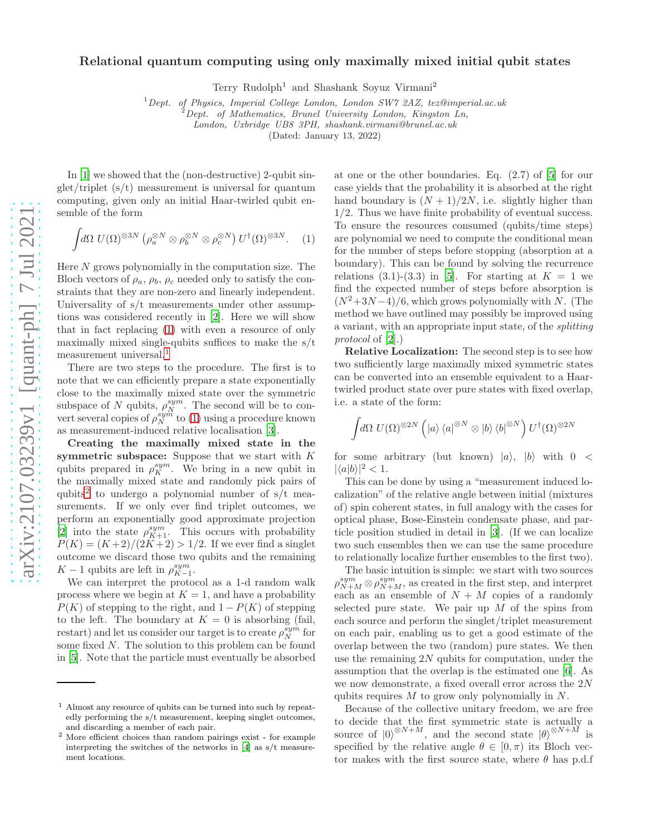## Relational quantum computing using only maximally mixed initial qubit states

Terry Rudolph<sup>1</sup> and Shashank Soyuz Virmani<sup>2</sup>

<sup>1</sup> Dept. of Physics, Imperial College London, London SW7 2AZ, tez@imperial.ac.uk

 $^{2}$ Dept. of Mathematics, Brunel University London, Kingston Ln,

London, Uxbridge UB8 3PH, shashank.virmani@brunel.ac.uk

(Dated: January 13, 2022)

In [\[1](#page-1-0)] we showed that the (non-destructive) 2-qubit singlet/triplet (s/t) measurement is universal for quantum computing, given only an initial Haar-twirled qubit ensemble of the form

<span id="page-0-0"></span>
$$
\int d\Omega \ U(\Omega)^{\otimes 3N} \left( \rho_a^{\otimes N} \otimes \rho_b^{\otimes N} \otimes \rho_c^{\otimes N} \right) U^{\dagger}(\Omega)^{\otimes 3N}.
$$
 (1)

Here  $N$  grows polynomially in the computation size. The Bloch vectors of  $\rho_a$ ,  $\rho_b$ ,  $\rho_c$  needed only to satisfy the constraints that they are non-zero and linearly independent. Universality of s/t measurements under other assumptions was considered recently in [\[2\]](#page-1-1). Here we will show that in fact replacing [\(1\)](#page-0-0) with even a resource of only maximally mixed single-qubits suffices to make the s/t measurement universal.<sup>1</sup>

There are two steps to the procedure. The first is to note that we can efficiently prepare a state exponentially close to the maximally mixed state over the symmetric subspace of N qubits,  $\rho_N^{sym}$ . The second will be to convert several copies of  $\rho_N^{sym}$  to [\(1\)](#page-0-0) using a procedure known as measurement-induced relative localisation [\[3\]](#page-1-2).

Creating the maximally mixed state in the symmetric subspace: Suppose that we start with K qubits prepared in  $\rho_K^{sym}$ . We bring in a new qubit in the maximally mixed state and randomly pick pairs of qubits<sup>2</sup> to undergo a polynomial number of  $s/t$  measurements. If we only ever find triplet outcomes, we perform an exponentially good approximate projection [\[2\]](#page-1-1) into the state  $\rho_{K+1}^{sym}$ . This occurs with probability  $P(K) = (K+2)/(2K+2) > 1/2$ . If we ever find a singlet outcome we discard those two qubits and the remaining  $K-1$  qubits are left in  $\rho_{K-1}^{sym}$ .

We can interpret the protocol as a 1-d random walk process where we begin at  $K = 1$ , and have a probability  $P(K)$  of stepping to the right, and  $1 - P(K)$  of stepping to the left. The boundary at  $K = 0$  is absorbing (fail, restart) and let us consider our target is to create  $\rho_N^{sym}$  for some fixed N. The solution to this problem can be found in [\[5](#page-1-3)]. Note that the particle must eventually be absorbed

at one or the other boundaries. Eq. (2.7) of [\[5](#page-1-3)] for our case yields that the probability it is absorbed at the right hand boundary is  $(N + 1)/2N$ , i.e. slightly higher than 1/2. Thus we have finite probability of eventual success. To ensure the resources consumed (qubits/time steps) are polynomial we need to compute the conditional mean for the number of steps before stopping (absorption at a boundary). This can be found by solving the recurrence relations (3.1)-(3.3) in [\[5\]](#page-1-3). For starting at  $K = 1$  we find the expected number of steps before absorption is  $(N^2+3N-4)/6$ , which grows polynomially with N. (The method we have outlined may possibly be improved using a variant, with an appropriate input state, of the splitting protocol of [\[2\]](#page-1-1).)

Relative Localization: The second step is to see how two sufficiently large maximally mixed symmetric states can be converted into an ensemble equivalent to a Haartwirled product state over pure states with fixed overlap, i.e. a state of the form:

$$
\int d\Omega \ U(\Omega)^{\otimes 2N} \left( \ket{a}\bra{a}^{\otimes N} \otimes \ket{b}\bra{b}^{\otimes N} \right) U^{\dagger}(\Omega)^{\otimes 2N}
$$

for some arbitrary (but known)  $|a\rangle$ ,  $|b\rangle$  with  $0 <$  $|\langle a|b\rangle|^2 < 1.$ 

This can be done by using a "measurement induced localization" of the relative angle between initial (mixtures of) spin coherent states, in full analogy with the cases for optical phase, Bose-Einstein condensate phase, and particle position studied in detail in [\[3\]](#page-1-2). (If we can localize two such ensembles then we can use the same procedure to relationally localize further ensembles to the first two).

The basic intuition is simple: we start with two sources  $\rho_{N+M}^{sym}\otimes\rho_{N+M}^{sym}$ , as created in the first step, and interpret each as an ensemble of  $N + M$  copies of a randomly selected pure state. We pair up  $M$  of the spins from each source and perform the singlet/triplet measurement on each pair, enabling us to get a good estimate of the overlap between the two (random) pure states. We then use the remaining  $2N$  qubits for computation, under the assumption that the overlap is the estimated one [\[6\]](#page-1-5). As we now demonstrate, a fixed overall error across the 2N qubits requires  $M$  to grow only polynomially in  $N$ .

Because of the collective unitary freedom, we are free to decide that the first symmetric state is actually a source of  $|0\rangle^{\otimes N+M}$ , and the second state  $|\theta\rangle^{\otimes N+M}$  is specified by the relative angle  $\theta \in [0, \pi)$  its Bloch vector makes with the first source state, where  $\theta$  has p.d.f

<sup>1</sup> Almost any resource of qubits can be turned into such by repeatedly performing the s/t measurement, keeping singlet outcomes, and discarding a member of each pair.

<sup>2</sup> More efficient choices than random pairings exist - for example interpreting the switches of the networks in [\[4\]](#page-1-4) as s/t measurement locations.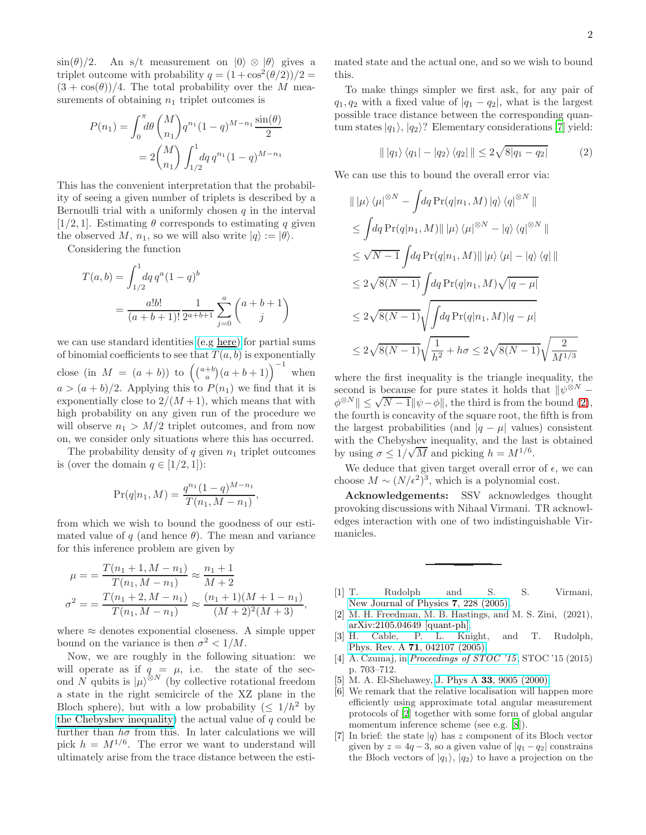$\sin(\theta)/2$ . An s/t measurement on  $|0\rangle \otimes |0\rangle$  gives a triplet outcome with probability  $q = (1 + \cos^2(\theta/2))/2 =$  $(3 + \cos(\theta))/4$ . The total probability over the M measurements of obtaining  $n_1$  triplet outcomes is

$$
P(n_1) = \int_0^{\pi} d\theta \binom{M}{n_1} q^{n_1} (1-q)^{M-n_1} \frac{\sin(\theta)}{2}
$$

$$
= 2 \binom{M}{n_1} \int_{1/2}^1 dq \, q^{n_1} (1-q)^{M-n_1}
$$

This has the convenient interpretation that the probability of seeing a given number of triplets is described by a Bernoulli trial with a uniformly chosen  $q$  in the interval [1/2, 1]. Estimating  $\theta$  corresponds to estimating q given the observed M,  $n_1$ , so we will also write  $|q\rangle := |\theta\rangle$ .

Considering the function

$$
T(a,b) = \int_{1/2}^{1} dq q^{a} (1-q)^{b}
$$
  
= 
$$
\frac{a!b!}{(a+b+1)!} \frac{1}{2^{a+b+1}} \sum_{j=0}^{a} {a+b+1 \choose j}
$$

we can use standard identities [\(e.g here\)](https://en.wikipedia.org/wiki/Binomial_coefficient#Sums_of_binomial_coefficients) for partial sums of binomial coefficients to see that  $T(a, b)$  is exponentially close (in  $M = (a + b)$ ) to  $((a+b)(a+b+1))^{-1}$  when  $a > (a + b)/2$ . Applying this to  $P(n_1)$  we find that it is exponentially close to  $2/(M+1)$ , which means that with high probability on any given run of the procedure we will observe  $n_1 > M/2$  triplet outcomes, and from now on, we consider only situations where this has occurred.

The probability density of  $q$  given  $n_1$  triplet outcomes is (over the domain  $q \in [1/2, 1]$ ):

$$
\Pr(q|n_1, M) = \frac{q^{n_1}(1-q)^{M-n_1}}{T(n_1, M-n_1)},
$$

from which we wish to bound the goodness of our estimated value of q (and hence  $\theta$ ). The mean and variance for this inference problem are given by

$$
\mu = \frac{T(n_1 + 1, M - n_1)}{T(n_1, M - n_1)} \approx \frac{n_1 + 1}{M + 2}
$$

$$
\sigma^2 = \frac{T(n_1 + 2, M - n_1)}{T(n_1, M - n_1)} \approx \frac{(n_1 + 1)(M + 1 - n_1)}{(M + 2)^2(M + 3)},
$$

where  $\approx$  denotes exponential closeness. A simple upper bound on the variance is then  $\sigma^2 < 1/M$ .

Now, we are roughly in the following situation: we will operate as if  $q = \mu$ , i.e. the state of the second N qubits is  $|\mu\rangle^{\otimes N}$  (by collective rotational freedom a state in the right semicircle of the XZ plane in the Bloch sphere), but with a low probability  $(\leq 1/h^2)$  by [the Chebyshev inequality\)](https://en.wikipedia.org/wiki/Chebyshev%27s_inequality#Probabilistic_statement) the actual value of  $q$  could be further than  $h\sigma$  from this. In later calculations we will pick  $h = M^{1/6}$ . The error we want to understand will ultimately arise from the trace distance between the estimated state and the actual one, and so we wish to bound this.

To make things simpler we first ask, for any pair of  $q_1, q_2$  with a fixed value of  $|q_1 - q_2|$ , what is the largest possible trace distance between the corresponding quantum states  $|q_1\rangle$ ,  $|q_2\rangle$ ? Elementary considerations [\[7\]](#page-1-6) yield:

<span id="page-1-7"></span>
$$
\| |q_1\rangle \langle q_1| - |q_2\rangle \langle q_2| \| \leq 2\sqrt{8|q_1 - q_2|}
$$
 (2)

We can use this to bound the overall error via:

$$
\| |\mu\rangle \langle \mu|^{\otimes N} - \int dq \Pr(q|n_1, M) |q\rangle \langle q|^{\otimes N} \|
$$
  
\n
$$
\leq \int dq \Pr(q|n_1, M) || |\mu\rangle \langle \mu|^{\otimes N} - |q\rangle \langle q|^{\otimes N} ||
$$
  
\n
$$
\leq \sqrt{N-1} \int dq \Pr(q|n_1, M) || |\mu\rangle \langle \mu| - |q\rangle \langle q ||
$$
  
\n
$$
\leq 2\sqrt{8(N-1)} \int dq \Pr(q|n_1, M) \sqrt{|q - \mu|}
$$
  
\n
$$
\leq 2\sqrt{8(N-1)} \sqrt{\int dq \Pr(q|n_1, M) |q - \mu|}
$$
  
\n
$$
\leq 2\sqrt{8(N-1)} \sqrt{\frac{1}{h^2} + h\sigma} \leq 2\sqrt{8(N-1)} \sqrt{\frac{2}{M^{1/3}}}
$$

where the first inequality is the triangle inequality, the second is because for pure states it holds that  $\psi^{\otimes N}$  −  $\phi^{\otimes N}$   $\leq \sqrt{N-1}$   $\|\psi-\phi\|$ , the third is from the bound [\(2\)](#page-1-7), the fourth is concavity of the square root, the fifth is from the largest probabilities (and  $|q - \mu|$  values) consistent with the Chebyshev inequality, and the last is obtained by using  $\sigma \leq 1/\sqrt{M}$  and picking  $h = M^{1/6}$ .

We deduce that given target overall error of  $\epsilon$ , we can choose  $M \sim (N/\epsilon^2)^3$ , which is a polynomial cost.

Acknowledgements: SSV acknowledges thought provoking discussions with Nihaal Virmani. TR acknowledges interaction with one of two indistinguishable Virmanicles.

- <span id="page-1-0"></span>[1] T. Rudolph and S. S. Virmani, [New Journal of Physics](https://doi.org/10.1088/1367-2630/7/1/228) 7, 228 (2005).
- <span id="page-1-1"></span>[2] M. H. Freedman, M. B. Hastings, and M. S. Zini, (2021), [arXiv:2105.04649 \[quant-ph\].](https://arxiv.org/abs/2105.04649)
- <span id="page-1-2"></span>[3] H. Cable, P. L. Knight, and T. Rudolph, Phys. Rev. A **71**[, 042107 \(2005\).](https://doi.org/10.1103/PhysRevA.71.042107)
- <span id="page-1-4"></span>[4] A. Czumaj, in [Proceedings of STOC '15](https://doi.org/10.1145/2746539.2746629), STOC '15 (2015) p. 703–712.
- <span id="page-1-3"></span>[5] M. A. El-Shehawey, J. Phys A **33**[, 9005 \(2000\).](https://doi.org/10.1088/0305-4470/33/49/301)
- <span id="page-1-5"></span>[6] We remark that the relative localisation will happen more efficiently using approximate total angular measurement protocols of [\[2\]](#page-1-1) together with some form of global angular momentum inference scheme (see e.g. [\[8\]](#page-2-0)).
- <span id="page-1-6"></span>[7] In brief: the state  $|q\rangle$  has z component of its Bloch vector given by  $z = 4q - 3$ , so a given value of  $|q_1 - q_2|$  constrains the Bloch vectors of  $|q_1\rangle$ ,  $|q_2\rangle$  to have a projection on the